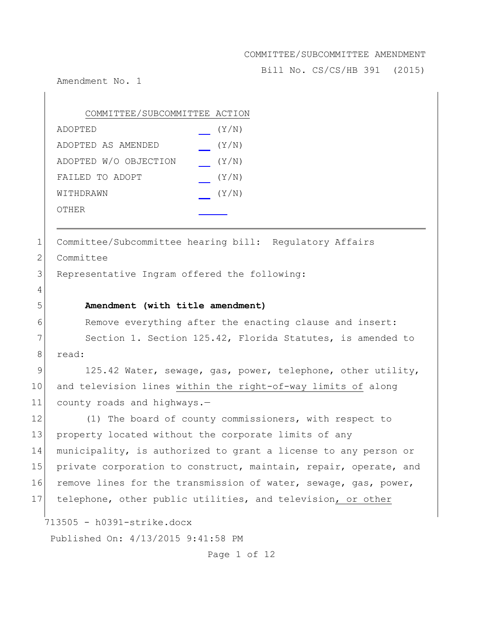Bill No. CS/CS/HB 391 (2015)

Amendment No. 1

| COMMITTEE/SUBCOMMITTEE ACTION |       |
|-------------------------------|-------|
| ADOPTED                       | (Y/N) |
| ADOPTED AS AMENDED            | (Y/N) |
| ADOPTED W/O OBJECTION         | (Y/N) |
| FAILED TO ADOPT               | (Y/N) |
| WITHDRAWN                     | (Y/N) |
| OTHER                         |       |

1 Committee/Subcommittee hearing bill: Regulatory Affairs

2 Committee

4

3 Representative Ingram offered the following:

# 5 **Amendment (with title amendment)**

6 Remove everything after the enacting clause and insert:

7 Section 1. Section 125.42, Florida Statutes, is amended to 8 read:

9 125.42 Water, sewage, gas, power, telephone, other utility, 10 and television lines within the right-of-way limits of along 11 county roads and highways.-

12 (1) The board of county commissioners, with respect to 13 property located without the corporate limits of any 14 municipality, is authorized to grant a license to any person or 15 private corporation to construct, maintain, repair, operate, and 16 remove lines for the transmission of water, sewage, gas, power, 17 telephone, other public utilities, and television, or other

713505 - h0391-strike.docx

Published On: 4/13/2015 9:41:58 PM

Page 1 of 12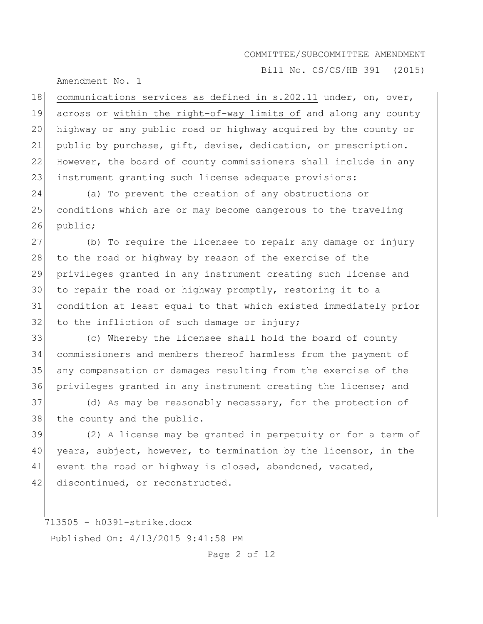Bill No. CS/CS/HB 391 (2015)

Amendment No. 1

18 communications services as defined in s.202.11 under, on, over, across or within the right-of-way limits of and along any county highway or any public road or highway acquired by the county or public by purchase, gift, devise, dedication, or prescription. However, the board of county commissioners shall include in any 23 instrument granting such license adequate provisions:

24 (a) To prevent the creation of any obstructions or 25 conditions which are or may become dangerous to the traveling 26 public;

 (b) To require the licensee to repair any damage or injury 28 to the road or highway by reason of the exercise of the privileges granted in any instrument creating such license and to repair the road or highway promptly, restoring it to a condition at least equal to that which existed immediately prior to the infliction of such damage or injury;

 (c) Whereby the licensee shall hold the board of county commissioners and members thereof harmless from the payment of any compensation or damages resulting from the exercise of the privileges granted in any instrument creating the license; and

37 (d) As may be reasonably necessary, for the protection of 38 the county and the public.

39 (2) A license may be granted in perpetuity or for a term of 40 years, subject, however, to termination by the licensor, in the 41 event the road or highway is closed, abandoned, vacated, 42 discontinued, or reconstructed.

713505 - h0391-strike.docx Published On: 4/13/2015 9:41:58 PM

Page 2 of 12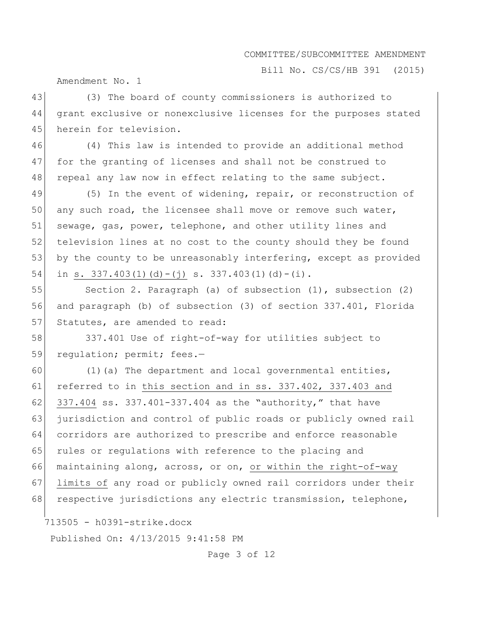Bill No. CS/CS/HB 391 (2015)

Amendment No. 1

43 (3) The board of county commissioners is authorized to 44 grant exclusive or nonexclusive licenses for the purposes stated 45 herein for television.

46 (4) This law is intended to provide an additional method 47 for the granting of licenses and shall not be construed to 48 repeal any law now in effect relating to the same subject.

49 (5) In the event of widening, repair, or reconstruction of 50 any such road, the licensee shall move or remove such water, 51 sewage, gas, power, telephone, and other utility lines and 52 television lines at no cost to the county should they be found 53 by the county to be unreasonably interfering, except as provided 54 in s. 337.403(1)(d)-(j) s. 337.403(1)(d)-(i).

55 Section 2. Paragraph (a) of subsection (1), subsection (2) 56 and paragraph (b) of subsection (3) of section 337.401, Florida 57 Statutes, are amended to read:

58 337.401 Use of right-of-way for utilities subject to 59 regulation; permit; fees.-

60 (1)(a) The department and local governmental entities, 61 referred to in this section and in ss. 337.402, 337.403 and 62 337.404 ss. 337.401-337.404 as the "authority," that have 63 jurisdiction and control of public roads or publicly owned rail 64 corridors are authorized to prescribe and enforce reasonable 65 rules or regulations with reference to the placing and 66 maintaining along, across, or on, or within the right-of-way 67 limits of any road or publicly owned rail corridors under their 68 respective jurisdictions any electric transmission, telephone,

713505 - h0391-strike.docx

Published On: 4/13/2015 9:41:58 PM

Page 3 of 12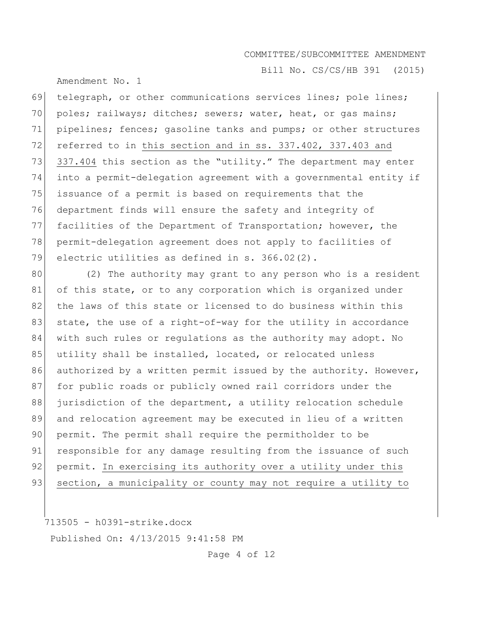Amendment No. 1

Bill No. CS/CS/HB 391 (2015)

69 telegraph, or other communications services lines; pole lines; 70 poles; railways; ditches; sewers; water, heat, or gas mains; 71 pipelines; fences; gasoline tanks and pumps; or other structures 72 referred to in this section and in ss. 337.402, 337.403 and 73 337.404 this section as the "utility." The department may enter 74 into a permit-delegation agreement with a governmental entity if 75 issuance of a permit is based on requirements that the 76 department finds will ensure the safety and integrity of 77 facilities of the Department of Transportation; however, the 78 permit-delegation agreement does not apply to facilities of 79 electric utilities as defined in s. 366.02(2).

80 (2) The authority may grant to any person who is a resident 81 of this state, or to any corporation which is organized under 82 the laws of this state or licensed to do business within this 83 state, the use of a right-of-way for the utility in accordance 84 with such rules or regulations as the authority may adopt. No 85 utility shall be installed, located, or relocated unless 86 authorized by a written permit issued by the authority. However, 87 for public roads or publicly owned rail corridors under the 88 jurisdiction of the department, a utility relocation schedule 89 and relocation agreement may be executed in lieu of a written 90 permit. The permit shall require the permitholder to be 91 responsible for any damage resulting from the issuance of such 92 permit. In exercising its authority over a utility under this 93 section, a municipality or county may not require a utility to

713505 - h0391-strike.docx Published On: 4/13/2015 9:41:58 PM

Page 4 of 12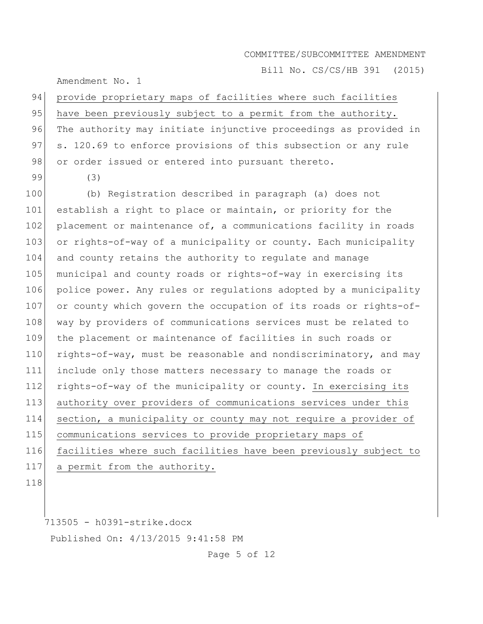Bill No. CS/CS/HB 391 (2015)

Amendment No. 1

94 provide proprietary maps of facilities where such facilities 95 have been previously subject to a permit from the authority. 96 The authority may initiate injunctive proceedings as provided in 97 s. 120.69 to enforce provisions of this subsection or any rule 98 or order issued or entered into pursuant thereto.

99 (3)

 (b) Registration described in paragraph (a) does not 101 establish a right to place or maintain, or priority for the 102 placement or maintenance of, a communications facility in roads or rights-of-way of a municipality or county. Each municipality and county retains the authority to regulate and manage 105 municipal and county roads or rights-of-way in exercising its police power. Any rules or regulations adopted by a municipality 107 or county which govern the occupation of its roads or rights-of-108 way by providers of communications services must be related to the placement or maintenance of facilities in such roads or 110 rights-of-way, must be reasonable and nondiscriminatory, and may include only those matters necessary to manage the roads or 112 rights-of-way of the municipality or county. In exercising its authority over providers of communications services under this section, a municipality or county may not require a provider of communications services to provide proprietary maps of facilities where such facilities have been previously subject to a permit from the authority.

118

713505 - h0391-strike.docx

Published On: 4/13/2015 9:41:58 PM

Page 5 of 12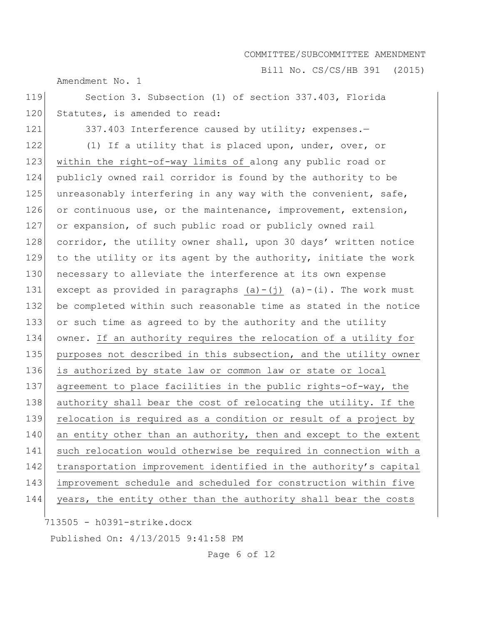Bill No. CS/CS/HB 391 (2015)

Amendment No. 1

119 Section 3. Subsection (1) of section 337.403, Florida 120 Statutes, is amended to read:

121 337.403 Interference caused by utility; expenses.-

122 (1) If a utility that is placed upon, under, over, or 123 within the right-of-way limits of along any public road or 124 publicly owned rail corridor is found by the authority to be 125 unreasonably interfering in any way with the convenient, safe, 126 or continuous use, or the maintenance, improvement, extension, 127 or expansion, of such public road or publicly owned rail 128 corridor, the utility owner shall, upon 30 days' written notice 129 to the utility or its agent by the authority, initiate the work 130 necessary to alleviate the interference at its own expense 131 except as provided in paragraphs  $(a)-(j)$   $(a)-(i)$ . The work must 132 be completed within such reasonable time as stated in the notice 133 or such time as agreed to by the authority and the utility 134 owner. If an authority requires the relocation of a utility for 135 purposes not described in this subsection, and the utility owner 136 is authorized by state law or common law or state or local 137 agreement to place facilities in the public rights-of-way, the 138 authority shall bear the cost of relocating the utility. If the 139 relocation is required as a condition or result of a project by  $140$  an entity other than an authority, then and except to the extent 141 such relocation would otherwise be required in connection with a 142 transportation improvement identified in the authority's capital 143 improvement schedule and scheduled for construction within five 144 years, the entity other than the authority shall bear the costs

713505 - h0391-strike.docx

Published On: 4/13/2015 9:41:58 PM

Page 6 of 12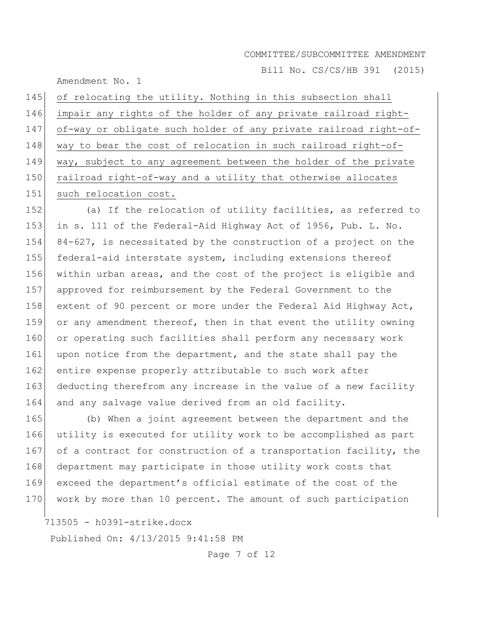Bill No. CS/CS/HB 391 (2015)

Amendment No. 1

| 145 | of relocating the utility. Nothing in this subsection shall      |
|-----|------------------------------------------------------------------|
| 146 | impair any rights of the holder of any private railroad right-   |
| 147 | of-way or obligate such holder of any private railroad right-of- |
| 148 | way to bear the cost of relocation in such railroad right-of-    |
| 149 | way, subject to any agreement between the holder of the private  |
| 150 | railroad right-of-way and a utility that otherwise allocates     |
| 151 | such relocation cost.                                            |

152 (a) If the relocation of utility facilities, as referred to 153 in s. 111 of the Federal-Aid Highway Act of 1956, Pub. L. No. 154 84-627, is necessitated by the construction of a project on the 155 federal-aid interstate system, including extensions thereof 156 within urban areas, and the cost of the project is eligible and 157 approved for reimbursement by the Federal Government to the 158 extent of 90 percent or more under the Federal Aid Highway Act, 159 or any amendment thereof, then in that event the utility owning 160 or operating such facilities shall perform any necessary work 161 upon notice from the department, and the state shall pay the 162 entire expense properly attributable to such work after 163 deducting therefrom any increase in the value of a new facility 164 and any salvage value derived from an old facility.

165 (b) When a joint agreement between the department and the 166 utility is executed for utility work to be accomplished as part 167 of a contract for construction of a transportation facility, the 168 department may participate in those utility work costs that 169 exceed the department's official estimate of the cost of the 170 work by more than 10 percent. The amount of such participation

713505 - h0391-strike.docx

Published On: 4/13/2015 9:41:58 PM

Page 7 of 12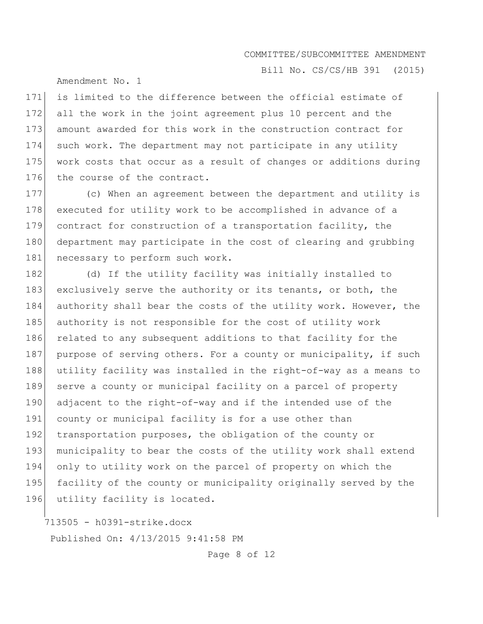Bill No. CS/CS/HB 391 (2015)

Amendment No. 1

171 is limited to the difference between the official estimate of 172 all the work in the joint agreement plus 10 percent and the 173 amount awarded for this work in the construction contract for 174 such work. The department may not participate in any utility 175 work costs that occur as a result of changes or additions during 176 the course of the contract.

177 (c) When an agreement between the department and utility is 178 executed for utility work to be accomplished in advance of a 179 contract for construction of a transportation facility, the 180 department may participate in the cost of clearing and grubbing 181 necessary to perform such work.

182 (d) If the utility facility was initially installed to 183 exclusively serve the authority or its tenants, or both, the 184 authority shall bear the costs of the utility work. However, the 185 authority is not responsible for the cost of utility work 186 related to any subsequent additions to that facility for the 187 purpose of serving others. For a county or municipality, if such 188 utility facility was installed in the right-of-way as a means to 189 serve a county or municipal facility on a parcel of property 190 adjacent to the right-of-way and if the intended use of the 191 county or municipal facility is for a use other than 192 transportation purposes, the obligation of the county or 193 | municipality to bear the costs of the utility work shall extend 194 only to utility work on the parcel of property on which the 195 facility of the county or municipality originally served by the 196 utility facility is located.

713505 - h0391-strike.docx Published On: 4/13/2015 9:41:58 PM

Page 8 of 12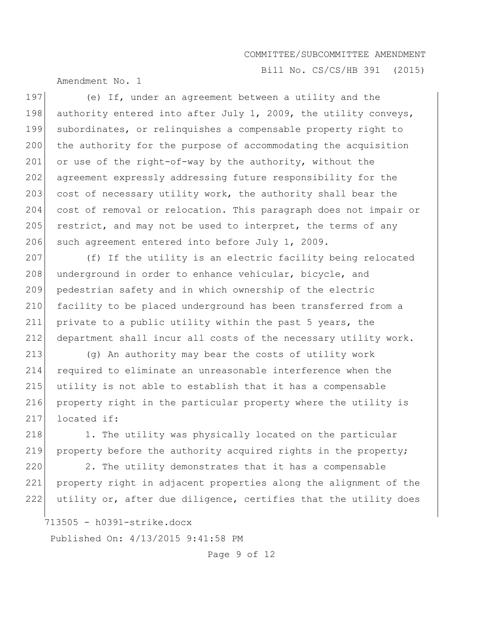Bill No. CS/CS/HB 391 (2015)

Amendment No. 1

197 (e) If, under an agreement between a utility and the 198 authority entered into after July 1, 2009, the utility conveys, 199 subordinates, or relinquishes a compensable property right to 200 the authority for the purpose of accommodating the acquisition 201 or use of the right-of-way by the authority, without the 202 agreement expressly addressing future responsibility for the 203 cost of necessary utility work, the authority shall bear the 204 cost of removal or relocation. This paragraph does not impair or 205 restrict, and may not be used to interpret, the terms of any 206 such agreement entered into before July 1, 2009.

207 (f) If the utility is an electric facility being relocated 208 underground in order to enhance vehicular, bicycle, and 209 pedestrian safety and in which ownership of the electric 210 facility to be placed underground has been transferred from a 211 private to a public utility within the past 5 years, the 212 department shall incur all costs of the necessary utility work.

 (g) An authority may bear the costs of utility work required to eliminate an unreasonable interference when the utility is not able to establish that it has a compensable property right in the particular property where the utility is 217 located if:

218 1. The utility was physically located on the particular 219 property before the authority acquired rights in the property;

220 2. The utility demonstrates that it has a compensable 221 property right in adjacent properties along the alignment of the 222 utility or, after due diligence, certifies that the utility does

713505 - h0391-strike.docx

Published On: 4/13/2015 9:41:58 PM

Page 9 of 12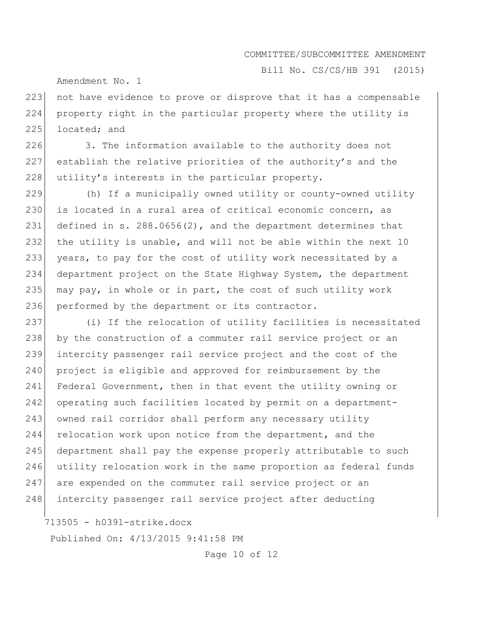Bill No. CS/CS/HB 391 (2015)

Amendment No. 1

223 not have evidence to prove or disprove that it has a compensable 224 property right in the particular property where the utility is 225 located; and

226 3. The information available to the authority does not 227 establish the relative priorities of the authority's and the 228 utility's interests in the particular property.

 (h) If a municipally owned utility or county-owned utility 230 is located in a rural area of critical economic concern, as defined in s. 288.0656(2), and the department determines that the utility is unable, and will not be able within the next 10 years, to pay for the cost of utility work necessitated by a department project on the State Highway System, the department 235 may pay, in whole or in part, the cost of such utility work 236 performed by the department or its contractor.

237 (i) If the relocation of utility facilities is necessitated 238 by the construction of a commuter rail service project or an 239 intercity passenger rail service project and the cost of the 240 project is eligible and approved for reimbursement by the 241 Federal Government, then in that event the utility owning or 242 operating such facilities located by permit on a department-243 owned rail corridor shall perform any necessary utility 244 relocation work upon notice from the department, and the 245 department shall pay the expense properly attributable to such 246 utility relocation work in the same proportion as federal funds 247 are expended on the commuter rail service project or an 248 intercity passenger rail service project after deducting

713505 - h0391-strike.docx

Published On: 4/13/2015 9:41:58 PM

Page 10 of 12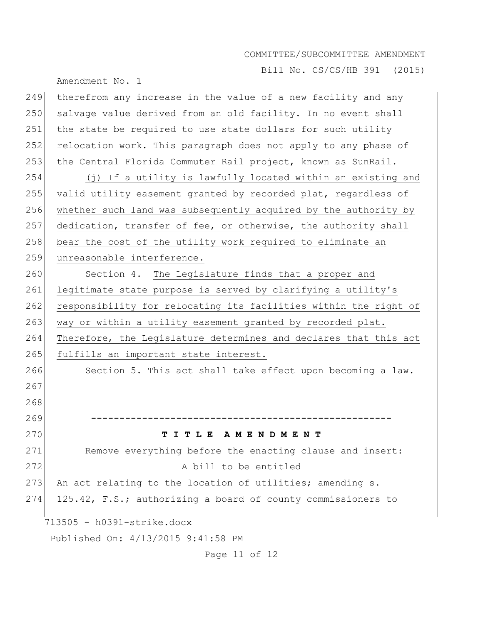Bill No. CS/CS/HB 391 (2015)

Amendment No. 1 713505 - h0391-strike.docx Published On: 4/13/2015 9:41:58 PM Page 11 of 12 249 therefrom any increase in the value of a new facility and any 250 salvage value derived from an old facility. In no event shall 251 the state be required to use state dollars for such utility 252 relocation work. This paragraph does not apply to any phase of 253 the Central Florida Commuter Rail project, known as SunRail. 254 (j) If a utility is lawfully located within an existing and 255 valid utility easement granted by recorded plat, regardless of 256 whether such land was subsequently acquired by the authority by 257 dedication, transfer of fee, or otherwise, the authority shall 258 bear the cost of the utility work required to eliminate an 259 unreasonable interference. 260 Section 4. The Legislature finds that a proper and 261 legitimate state purpose is served by clarifying a utility's 262 responsibility for relocating its facilities within the right of 263 way or within a utility easement granted by recorded plat. 264 Therefore, the Legislature determines and declares that this act 265 fulfills an important state interest. 266 Section 5. This act shall take effect upon becoming a law. 267 268 269 **-----------------------------------------------------** 270 **T I T L E A M E N D M E N T** 271 Remove everything before the enacting clause and insert: 272 A bill to be entitled 273 An act relating to the location of utilities; amending s. 274 125.42, F.S.; authorizing a board of county commissioners to